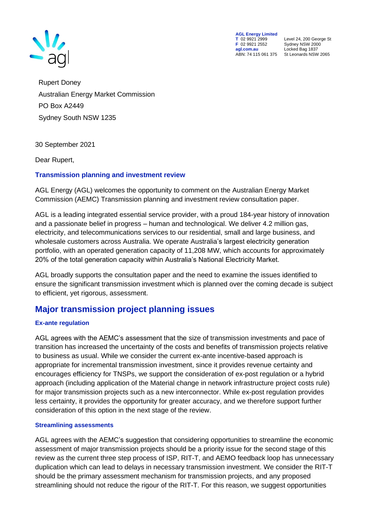

**AGL Energy Limited**<br> **T** 02 9921 2999<br> **F** 02 9921 2552 **F** 02 9921 2552 Sydney NSW 2000 ABN: 74 115 061 375

**T** 02 9921 2999 Level 24, 200 George St **agl.com.au** Locked Bag 1837<br>ABN: 74 115 061 375 St Leonards NSW 2065

Rupert Doney Australian Energy Market Commission PO Box A2449 Sydney South NSW 1235

30 September 2021

Dear Rupert,

### **Transmission planning and investment review**

AGL Energy (AGL) welcomes the opportunity to comment on the Australian Energy Market Commission (AEMC) Transmission planning and investment review consultation paper.

AGL is a leading integrated essential service provider, with a proud 184-year history of innovation and a passionate belief in progress – human and technological. We deliver 4.2 million gas, electricity, and telecommunications services to our residential, small and large business, and wholesale customers across Australia. We operate Australia's largest electricity generation portfolio, with an operated generation capacity of 11,208 MW, which accounts for approximately 20% of the total generation capacity within Australia's National Electricity Market.

AGL broadly supports the consultation paper and the need to examine the issues identified to ensure the significant transmission investment which is planned over the coming decade is subject to efficient, yet rigorous, assessment.

# **Major transmission project planning issues**

### **Ex-ante regulation**

AGL agrees with the AEMC's assessment that the size of transmission investments and pace of transition has increased the uncertainty of the costs and benefits of transmission projects relative to business as usual. While we consider the current ex-ante incentive-based approach is appropriate for incremental transmission investment, since it provides revenue certainty and encourages efficiency for TNSPs, we support the consideration of ex-post regulation or a hybrid approach (including application of the Material change in network infrastructure project costs rule) for major transmission projects such as a new interconnector. While ex-post regulation provides less certainty, it provides the opportunity for greater accuracy, and we therefore support further consideration of this option in the next stage of the review.

### **Streamlining assessments**

AGL agrees with the AEMC's suggestion that considering opportunities to streamline the economic assessment of major transmission projects should be a priority issue for the second stage of this review as the current three step process of ISP, RIT-T, and AEMO feedback loop has unnecessary duplication which can lead to delays in necessary transmission investment. We consider the RIT-T should be the primary assessment mechanism for transmission projects, and any proposed streamlining should not reduce the rigour of the RIT-T. For this reason, we suggest opportunities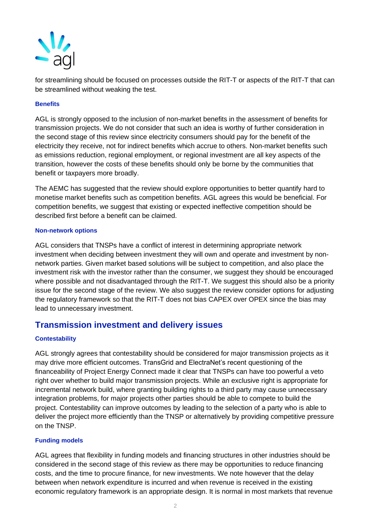

for streamlining should be focused on processes outside the RIT-T or aspects of the RIT-T that can be streamlined without weaking the test.

### **Benefits**

AGL is strongly opposed to the inclusion of non-market benefits in the assessment of benefits for transmission projects. We do not consider that such an idea is worthy of further consideration in the second stage of this review since electricity consumers should pay for the benefit of the electricity they receive, not for indirect benefits which accrue to others. Non-market benefits such as emissions reduction, regional employment, or regional investment are all key aspects of the transition, however the costs of these benefits should only be borne by the communities that benefit or taxpayers more broadly.

The AEMC has suggested that the review should explore opportunities to better quantify hard to monetise market benefits such as competition benefits. AGL agrees this would be beneficial. For competition benefits, we suggest that existing or expected ineffective competition should be described first before a benefit can be claimed.

### **Non-network options**

AGL considers that TNSPs have a conflict of interest in determining appropriate network investment when deciding between investment they will own and operate and investment by nonnetwork parties. Given market based solutions will be subject to competition, and also place the investment risk with the investor rather than the consumer, we suggest they should be encouraged where possible and not disadvantaged through the RIT-T. We suggest this should also be a priority issue for the second stage of the review. We also suggest the review consider options for adjusting the regulatory framework so that the RIT-T does not bias CAPEX over OPEX since the bias may lead to unnecessary investment.

## **Transmission investment and delivery issues**

### **Contestability**

AGL strongly agrees that contestability should be considered for major transmission projects as it may drive more efficient outcomes. TransGrid and ElectraNet's recent questioning of the financeability of Project Energy Connect made it clear that TNSPs can have too powerful a veto right over whether to build major transmission projects. While an exclusive right is appropriate for incremental network build, where granting building rights to a third party may cause unnecessary integration problems, for major projects other parties should be able to compete to build the project. Contestability can improve outcomes by leading to the selection of a party who is able to deliver the project more efficiently than the TNSP or alternatively by providing competitive pressure on the TNSP.

### **Funding models**

AGL agrees that flexibility in funding models and financing structures in other industries should be considered in the second stage of this review as there may be opportunities to reduce financing costs, and the time to procure finance, for new investments. We note however that the delay between when network expenditure is incurred and when revenue is received in the existing economic regulatory framework is an appropriate design. It is normal in most markets that revenue